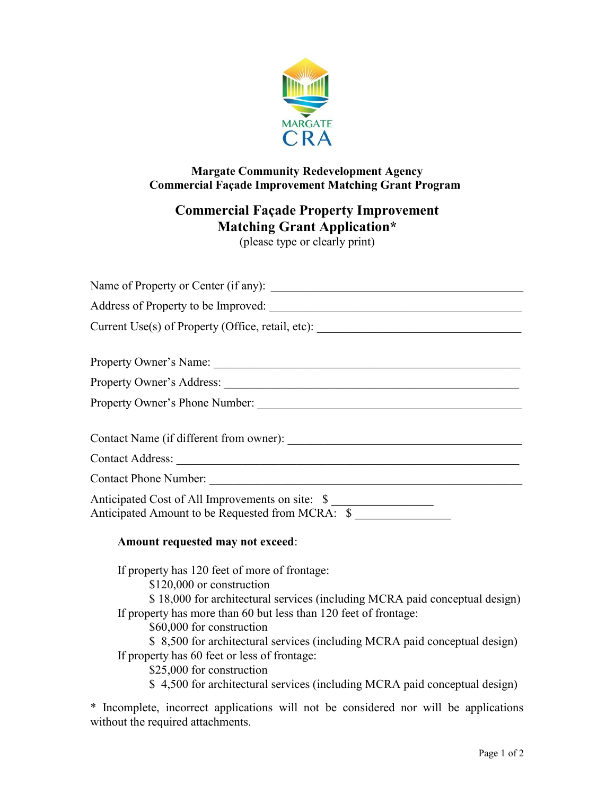

## Margate Community Redevelopment Agency Commercial Façade Improvement Matching Grant Program

# Commercial Façade Property Improvement Matching Grant Application\*

(please type or clearly print)

| Current Use(s) of Property (Office, retail, etc): ______________________________                     |
|------------------------------------------------------------------------------------------------------|
|                                                                                                      |
|                                                                                                      |
| Property Owner's Phone Number:                                                                       |
|                                                                                                      |
|                                                                                                      |
| Contact Phone Number:                                                                                |
| Anticipated Cost of All Improvements on site: \$<br>Anticipated Amount to be Requested from MCRA: \$ |

## Amount requested may not exceed:

If property has 120 feet of more of frontage:

\$120,000 or construction

 \$ 18,000 for architectural services (including MCRA paid conceptual design) If property has more than 60 but less than 120 feet of frontage:

\$60,000 for construction

 \$ 8,500 for architectural services (including MCRA paid conceptual design) If property has 60 feet or less of frontage:

\$25,000 for construction

\$ 4,500 for architectural services (including MCRA paid conceptual design)

\* Incomplete, incorrect applications will not be considered nor will be applications without the required attachments.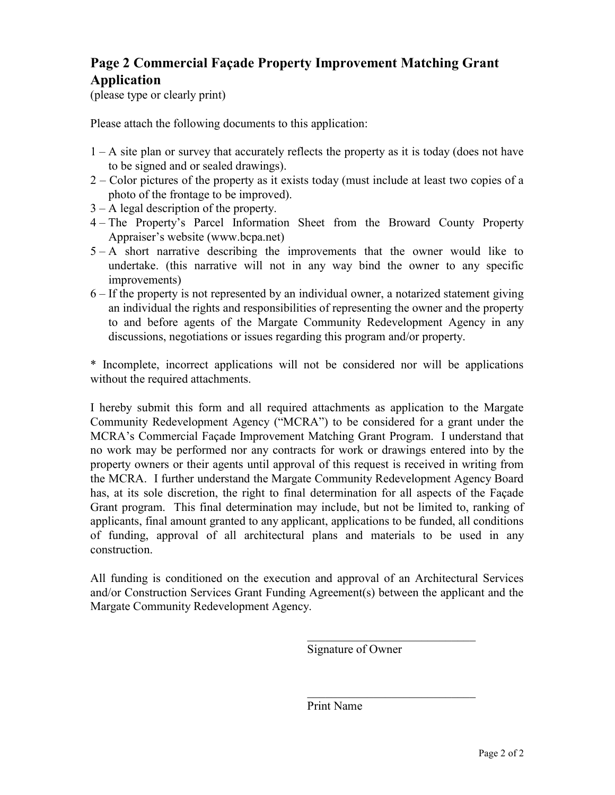## Page 2 Commercial Façade Property Improvement Matching Grant Application

(please type or clearly print)

Please attach the following documents to this application:

- 1 A site plan or survey that accurately reflects the property as it is today (does not have to be signed and or sealed drawings).
- 2 Color pictures of the property as it exists today (must include at least two copies of a photo of the frontage to be improved).
- 3 A legal description of the property.
- 4 The Property's Parcel Information Sheet from the Broward County Property Appraiser's website (www.bcpa.net)
- 5 A short narrative describing the improvements that the owner would like to undertake. (this narrative will not in any way bind the owner to any specific improvements)
- 6 If the property is not represented by an individual owner, a notarized statement giving an individual the rights and responsibilities of representing the owner and the property to and before agents of the Margate Community Redevelopment Agency in any discussions, negotiations or issues regarding this program and/or property.

\* Incomplete, incorrect applications will not be considered nor will be applications without the required attachments.

I hereby submit this form and all required attachments as application to the Margate Community Redevelopment Agency ("MCRA") to be considered for a grant under the MCRA's Commercial Façade Improvement Matching Grant Program. I understand that no work may be performed nor any contracts for work or drawings entered into by the property owners or their agents until approval of this request is received in writing from the MCRA. I further understand the Margate Community Redevelopment Agency Board has, at its sole discretion, the right to final determination for all aspects of the Façade Grant program. This final determination may include, but not be limited to, ranking of applicants, final amount granted to any applicant, applications to be funded, all conditions of funding, approval of all architectural plans and materials to be used in any construction.

All funding is conditioned on the execution and approval of an Architectural Services and/or Construction Services Grant Funding Agreement(s) between the applicant and the Margate Community Redevelopment Agency.

Signature of Owner

Print Name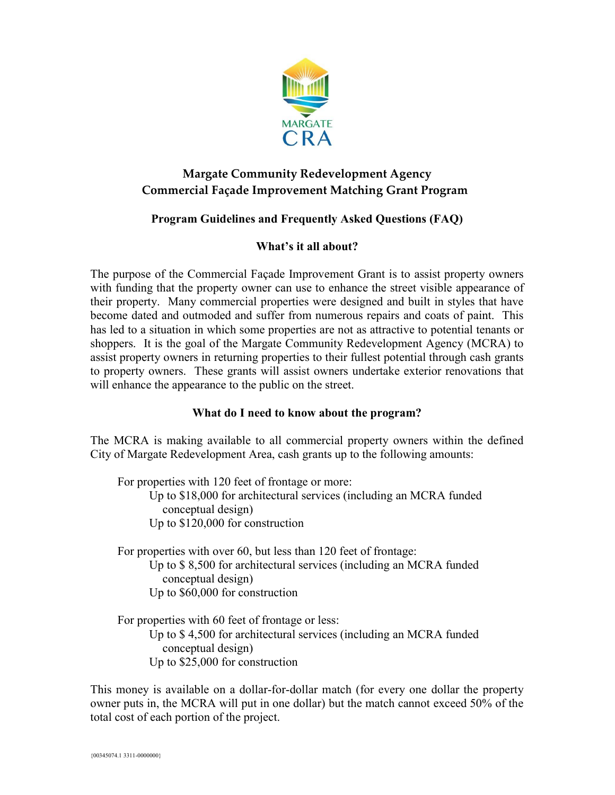

## Margate Community Redevelopment Agency Commercial Façade Improvement Matching Grant Program

## Program Guidelines and Frequently Asked Questions (FAQ)

## What's it all about?

The purpose of the Commercial Façade Improvement Grant is to assist property owners with funding that the property owner can use to enhance the street visible appearance of their property. Many commercial properties were designed and built in styles that have become dated and outmoded and suffer from numerous repairs and coats of paint. This has led to a situation in which some properties are not as attractive to potential tenants or shoppers. It is the goal of the Margate Community Redevelopment Agency (MCRA) to assist property owners in returning properties to their fullest potential through cash grants to property owners. These grants will assist owners undertake exterior renovations that will enhance the appearance to the public on the street.

## What do I need to know about the program?

The MCRA is making available to all commercial property owners within the defined City of Margate Redevelopment Area, cash grants up to the following amounts:

For properties with 120 feet of frontage or more: Up to \$18,000 for architectural services (including an MCRA funded conceptual design) Up to \$120,000 for construction

For properties with over 60, but less than 120 feet of frontage: Up to \$ 8,500 for architectural services (including an MCRA funded conceptual design) Up to \$60,000 for construction

For properties with 60 feet of frontage or less: Up to \$ 4,500 for architectural services (including an MCRA funded conceptual design) Up to \$25,000 for construction

This money is available on a dollar-for-dollar match (for every one dollar the property owner puts in, the MCRA will put in one dollar) but the match cannot exceed 50% of the total cost of each portion of the project.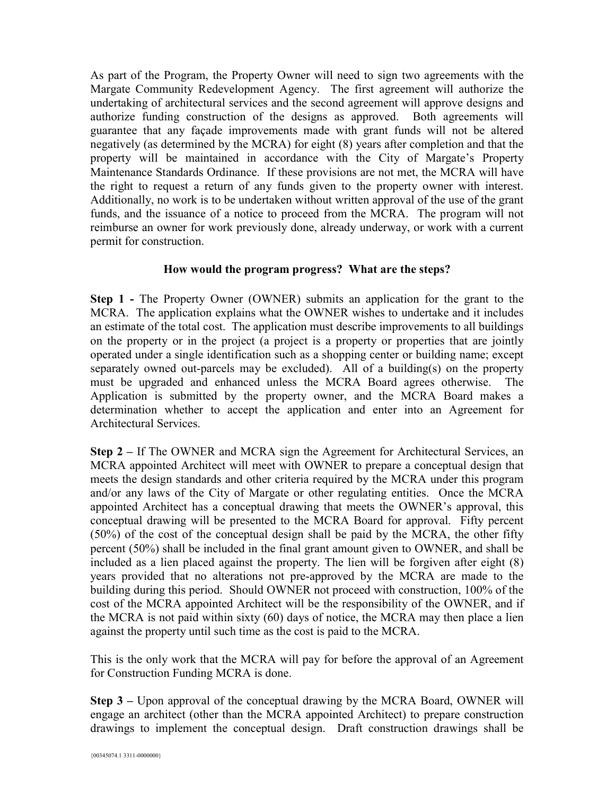As part of the Program, the Property Owner will need to sign two agreements with the Margate Community Redevelopment Agency. The first agreement will authorize the undertaking of architectural services and the second agreement will approve designs and authorize funding construction of the designs as approved. Both agreements will guarantee that any façade improvements made with grant funds will not be altered negatively (as determined by the MCRA) for eight (8) years after completion and that the property will be maintained in accordance with the City of Margate's Property Maintenance Standards Ordinance. If these provisions are not met, the MCRA will have the right to request a return of any funds given to the property owner with interest. Additionally, no work is to be undertaken without written approval of the use of the grant funds, and the issuance of a notice to proceed from the MCRA. The program will not reimburse an owner for work previously done, already underway, or work with a current permit for construction.

#### How would the program progress? What are the steps?

Step 1 - The Property Owner (OWNER) submits an application for the grant to the MCRA. The application explains what the OWNER wishes to undertake and it includes an estimate of the total cost. The application must describe improvements to all buildings on the property or in the project (a project is a property or properties that are jointly operated under a single identification such as a shopping center or building name; except separately owned out-parcels may be excluded). All of a building(s) on the property must be upgraded and enhanced unless the MCRA Board agrees otherwise. The Application is submitted by the property owner, and the MCRA Board makes a determination whether to accept the application and enter into an Agreement for Architectural Services.

Step 2 – If The OWNER and MCRA sign the Agreement for Architectural Services, an MCRA appointed Architect will meet with OWNER to prepare a conceptual design that meets the design standards and other criteria required by the MCRA under this program and/or any laws of the City of Margate or other regulating entities. Once the MCRA appointed Architect has a conceptual drawing that meets the OWNER's approval, this conceptual drawing will be presented to the MCRA Board for approval. Fifty percent (50%) of the cost of the conceptual design shall be paid by the MCRA, the other fifty percent (50%) shall be included in the final grant amount given to OWNER, and shall be included as a lien placed against the property. The lien will be forgiven after eight (8) years provided that no alterations not pre-approved by the MCRA are made to the building during this period. Should OWNER not proceed with construction, 100% of the cost of the MCRA appointed Architect will be the responsibility of the OWNER, and if the MCRA is not paid within sixty (60) days of notice, the MCRA may then place a lien against the property until such time as the cost is paid to the MCRA.

This is the only work that the MCRA will pay for before the approval of an Agreement for Construction Funding MCRA is done.

Step 3 – Upon approval of the conceptual drawing by the MCRA Board, OWNER will engage an architect (other than the MCRA appointed Architect) to prepare construction drawings to implement the conceptual design. Draft construction drawings shall be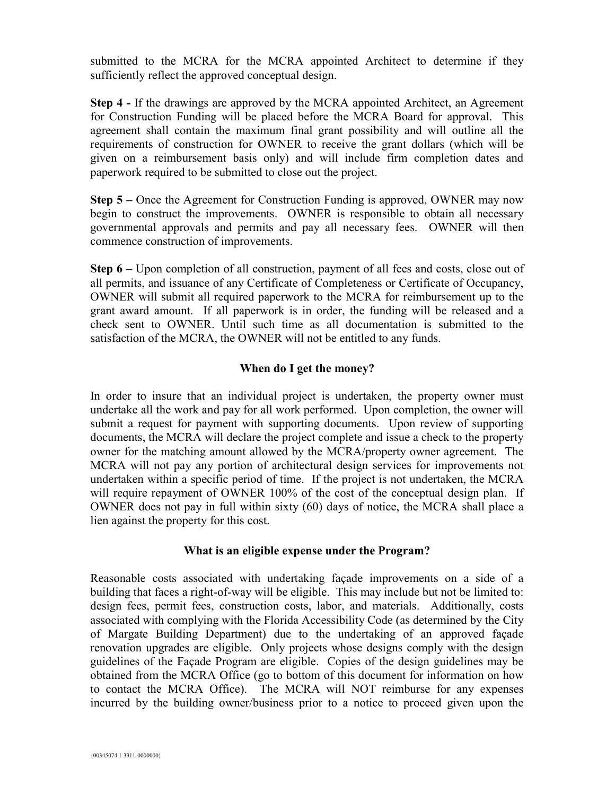submitted to the MCRA for the MCRA appointed Architect to determine if they sufficiently reflect the approved conceptual design.

Step 4 - If the drawings are approved by the MCRA appointed Architect, an Agreement for Construction Funding will be placed before the MCRA Board for approval. This agreement shall contain the maximum final grant possibility and will outline all the requirements of construction for OWNER to receive the grant dollars (which will be given on a reimbursement basis only) and will include firm completion dates and paperwork required to be submitted to close out the project.

Step 5 – Once the Agreement for Construction Funding is approved, OWNER may now begin to construct the improvements. OWNER is responsible to obtain all necessary governmental approvals and permits and pay all necessary fees. OWNER will then commence construction of improvements.

Step 6 – Upon completion of all construction, payment of all fees and costs, close out of all permits, and issuance of any Certificate of Completeness or Certificate of Occupancy, OWNER will submit all required paperwork to the MCRA for reimbursement up to the grant award amount. If all paperwork is in order, the funding will be released and a check sent to OWNER. Until such time as all documentation is submitted to the satisfaction of the MCRA, the OWNER will not be entitled to any funds.

#### When do I get the money?

In order to insure that an individual project is undertaken, the property owner must undertake all the work and pay for all work performed. Upon completion, the owner will submit a request for payment with supporting documents. Upon review of supporting documents, the MCRA will declare the project complete and issue a check to the property owner for the matching amount allowed by the MCRA/property owner agreement. The MCRA will not pay any portion of architectural design services for improvements not undertaken within a specific period of time. If the project is not undertaken, the MCRA will require repayment of OWNER 100% of the cost of the conceptual design plan. If OWNER does not pay in full within sixty (60) days of notice, the MCRA shall place a lien against the property for this cost.

#### What is an eligible expense under the Program?

Reasonable costs associated with undertaking façade improvements on a side of a building that faces a right-of-way will be eligible. This may include but not be limited to: design fees, permit fees, construction costs, labor, and materials. Additionally, costs associated with complying with the Florida Accessibility Code (as determined by the City of Margate Building Department) due to the undertaking of an approved façade renovation upgrades are eligible. Only projects whose designs comply with the design guidelines of the Façade Program are eligible. Copies of the design guidelines may be obtained from the MCRA Office (go to bottom of this document for information on how to contact the MCRA Office). The MCRA will NOT reimburse for any expenses incurred by the building owner/business prior to a notice to proceed given upon the